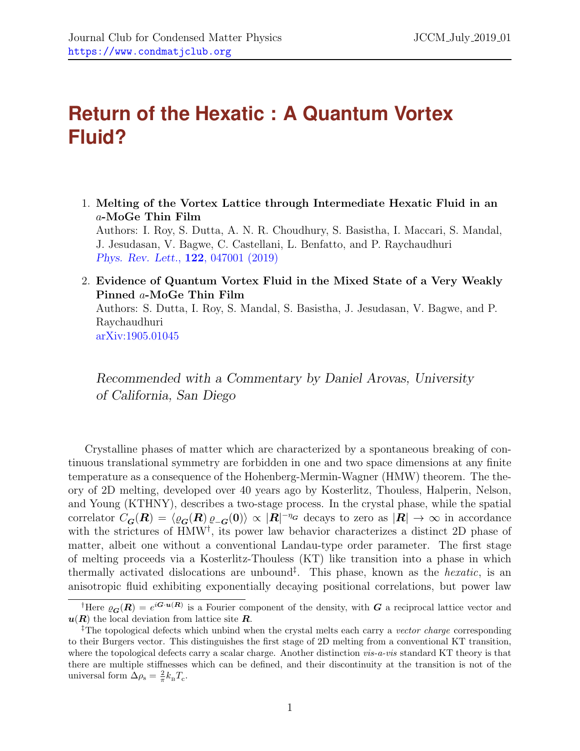## **Return of the Hexatic : A Quantum Vortex Fluid?**

- 1. Melting of the Vortex Lattice through Intermediate Hexatic Fluid in an a-MoGe Thin Film Authors: I. Roy, S. Dutta, A. N. R. Choudhury, S. Basistha, I. Maccari, S. Mandal, J. Jesudasan, V. Bagwe, C. Castellani, L. Benfatto, and P. Raychaudhuri [Phys. Rev. Lett.](https://journals.aps.org/prl/abstract/10.1103/PhysRevLett.122.047001), 122, 047001 (2019)
- 2. Evidence of Quantum Vortex Fluid in the Mixed State of a Very Weakly Pinned a-MoGe Thin Film Authors: S. Dutta, I. Roy, S. Mandal, S. Basistha, J. Jesudasan, V. Bagwe, and P. Raychaudhuri [arXiv:1905.01045](http://arxiv.org/pdf/1905.01045.pdf)

Recommended with a Commentary by Daniel Arovas, University of California, San Diego

Crystalline phases of matter which are characterized by a spontaneous breaking of continuous translational symmetry are forbidden in one and two space dimensions at any finite temperature as a consequence of the Hohenberg-Mermin-Wagner (HMW) theorem. The theory of 2D melting, developed over 40 years ago by Kosterlitz, Thouless, Halperin, Nelson, and Young (KTHNY), describes a two-stage process. In the crystal phase, while the spatial correlator  $C_{\bm{G}}(\bm{R}) = \langle \varrho_{\bm{G}}(\bm{R}) \varrho_{-\bm{G}}(\bm{0})\rangle \propto |\bm{R}|^{-\eta_{\bm{G}}}$  decays to zero as  $|\bm{R}| \to \infty$  in accordance with the strictures of HMW<sup>[†](#page-0-0)</sup>, its power law behavior characterizes a distinct 2D phase of matter, albeit one without a conventional Landau-type order parameter. The first stage of melting proceeds via a Kosterlitz-Thouless (KT) like transition into a phase in which thermally activated dislocations are unbound<sup> $\ddagger$ </sup>. This phase, known as the *hexatic*, is an anisotropic fluid exhibiting exponentially decaying positional correlations, but power law

<span id="page-0-0"></span><sup>&</sup>lt;sup>†</sup>Here  $\varrho_{\bm{G}}(\bm{R}) = e^{i\bm{G}\cdot\bm{u}(\bm{R})}$  is a Fourier component of the density, with  $\bm{G}$  a reciprocal lattice vector and  $u(R)$  the local deviation from lattice site R.

<span id="page-0-1"></span><sup>&</sup>lt;sup>‡</sup>The topological defects which unbind when the crystal melts each carry a vector charge corresponding to their Burgers vector. This distinguishes the first stage of 2D melting from a conventional KT transition, where the topological defects carry a scalar charge. Another distinction  $vis-a-vis$  standard KT theory is that there are multiple stiffnesses which can be defined, and their discontinuity at the transition is not of the universal form  $\Delta \rho_s = \frac{2}{\pi} k_B T_c$ .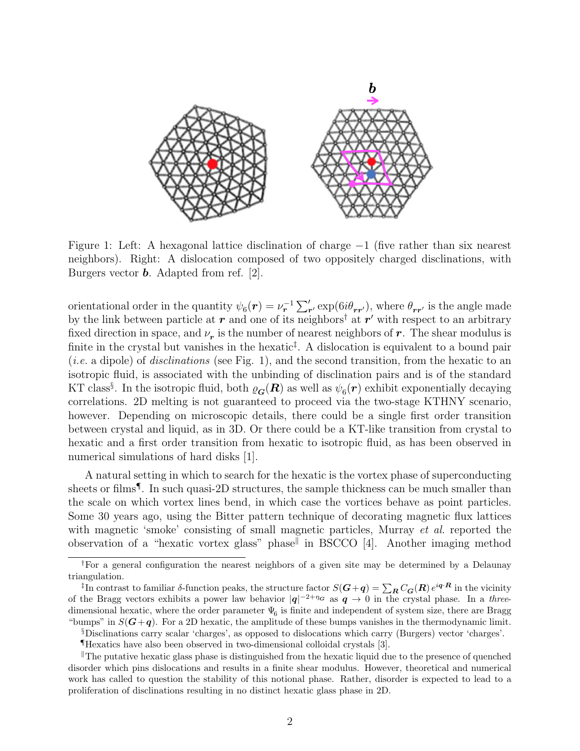

<span id="page-1-2"></span>Figure 1: Left: A hexagonal lattice disclination of charge −1 (five rather than six nearest neighbors). Right: A dislocation composed of two oppositely charged disclinations, with Burgers vector b. Adapted from ref. [\[2\]](#page-4-0).

orientational order in the quantity  $\psi_6(\mathbf{r}) = \nu_{\mathbf{r}}^{-1} \sum_{\mathbf{r}'} \exp(\theta i \theta_{\mathbf{r} \mathbf{r'}})$ , where  $\theta_{\mathbf{r} \mathbf{r'}}$  is the angle made by the link between particle at  $r$  and one of its neighbors<sup>[†](#page-1-0)</sup> at  $r'$  with respect to an arbitrary fixed direction in space, and  $\nu_r$  is the number of nearest neighbors of  $r$ . The shear modulus is finite in the crystal but vanishes in the hexatic<sup>†</sup>. A dislocation is equivalent to a bound pair (*i.e.* a dipole) of *disclinations* (see Fig. [1\)](#page-1-2), and the second transition, from the hexatic to an isotropic fluid, is associated with the unbinding of disclination pairs and is of the standard KT class<sup>[§](#page-1-3)</sup>. In the isotropic fluid, both  $\varrho_{\bm{G}}(\bm{R})$  as well as  $\psi_6(\bm{r})$  exhibit exponentially decaying correlations. 2D melting is not guaranteed to proceed via the two-stage KTHNY scenario, however. Depending on microscopic details, there could be a single first order transition between crystal and liquid, as in 3D. Or there could be a KT-like transition from crystal to hexatic and a first order transition from hexatic to isotropic fluid, as has been observed in numerical simulations of hard disks [\[1\]](#page-4-1).

A natural setting in which to search for the hexatic is the vortex phase of superconducting sheets or films<sup>[¶](#page-1-4)</sup>. In such quasi-2D structures, the sample thickness can be much smaller than the scale on which vortex lines bend, in which case the vortices behave as point particles. Some 30 years ago, using the Bitter pattern technique of decorating magnetic flux lattices with magnetic 'smoke' consisting of small magnetic particles, Murray *et al.* reported the observation of a "hexatic vortex glass" phase<sup>||</sup> in BSCCO [\[4\]](#page-4-2). Another imaging method

<span id="page-1-3"></span>§Disclinations carry scalar 'charges', as opposed to dislocations which carry (Burgers) vector 'charges'.

<span id="page-1-0"></span><sup>†</sup>For a general configuration the nearest neighbors of a given site may be determined by a Delaunay triangulation.

<span id="page-1-1"></span><sup>&</sup>lt;sup>‡</sup>In contrast to familiar δ-function peaks, the structure factor  $S(G+q) = \sum_{\bm{R}} C_{\bm{G}}(\bm{R}) e^{i\bm{q} \cdot \bm{R}}$  in the vicinity of the Bragg vectors exhibits a power law behavior  $|q|^{-2+\eta_G}$  as  $q \to 0$  in the crystal phase. In a threedimensional hexatic, where the order parameter  $\Psi_6$  is finite and independent of system size, there are Bragg "bumps" in  $S(G+q)$ . For a 2D hexatic, the amplitude of these bumps vanishes in the thermodynamic limit.

<span id="page-1-5"></span><span id="page-1-4"></span><sup>¶</sup>Hexatics have also been observed in two-dimensional colloidal crystals [\[3\]](#page-4-3).

 $\mathbb{T}$ The putative hexatic glass phase is distinguished from the hexatic liquid due to the presence of quenched disorder which pins dislocations and results in a finite shear modulus. However, theoretical and numerical work has called to question the stability of this notional phase. Rather, disorder is expected to lead to a proliferation of disclinations resulting in no distinct hexatic glass phase in 2D.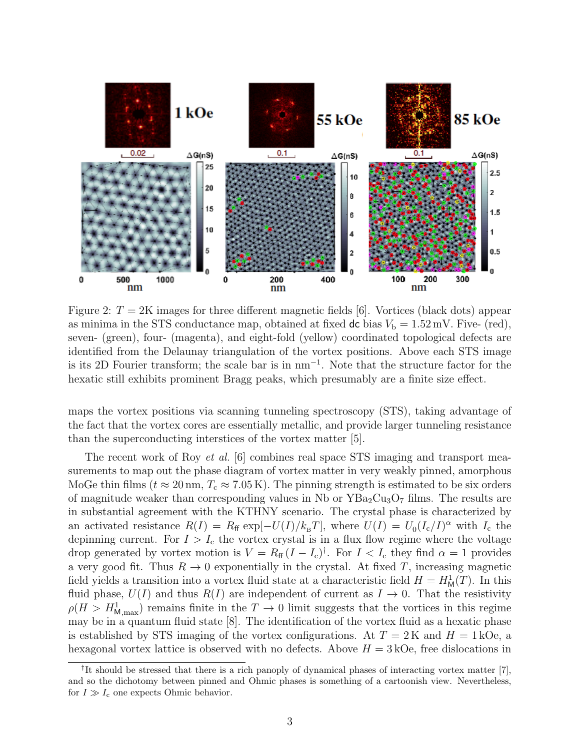

<span id="page-2-1"></span>Figure 2:  $T = 2K$  images for three different magnetic fields [\[6\]](#page-4-4). Vortices (black dots) appear as minima in the STS conductance map, obtained at fixed dc bias  $V<sub>b</sub> = 1.52$  mV. Five- (red), seven- (green), four- (magenta), and eight-fold (yellow) coordinated topological defects are identified from the Delaunay triangulation of the vortex positions. Above each STS image is its 2D Fourier transform; the scale bar is in nm<sup>−</sup><sup>1</sup> . Note that the structure factor for the hexatic still exhibits prominent Bragg peaks, which presumably are a finite size effect.

maps the vortex positions via scanning tunneling spectroscopy (STS), taking advantage of the fact that the vortex cores are essentially metallic, and provide larger tunneling resistance than the superconducting interstices of the vortex matter [\[5\]](#page-4-5).

The recent work of Roy *et al.* [\[6\]](#page-4-4) combines real space STS imaging and transport measurements to map out the phase diagram of vortex matter in very weakly pinned, amorphous MoGe thin films ( $t \approx 20 \text{ nm}$ ,  $T_c \approx 7.05 \text{ K}$ ). The pinning strength is estimated to be six orders of magnitude weaker than corresponding values in Nb or  $YBa<sub>2</sub>Cu<sub>3</sub>O<sub>7</sub>$  films. The results are in substantial agreement with the KTHNY scenario. The crystal phase is characterized by an activated resistance  $R(I) = R_{\text{ff}} \exp[-U(I)/k_{\text{B}}T]$ , where  $U(I) = U_0(I_c/I)^{\alpha}$  with  $I_c$  the depinning current. For  $I > I_c$  the vortex crystal is in a flux flow regime where the voltage drop generated by vortex motion is  $V = R_{\text{ff}} (I - I_c)^{\dagger}$ . For  $I < I_c$  they find  $\alpha = 1$  provides a very good fit. Thus  $R \to 0$  exponentially in the crystal. At fixed T, increasing magnetic field yields a transition into a vortex fluid state at a characteristic field  $H = H<sub>M</sub><sup>1</sup>(T)$ . In this fluid phase,  $U(I)$  and thus  $R(I)$  are independent of current as  $I \rightarrow 0$ . That the resistivity  $\rho(H > H^1_{M,\text{max}})$  remains finite in the  $T \to 0$  limit suggests that the vortices in this regime may be in a quantum fluid state [\[8\]](#page-4-6). The identification of the vortex fluid as a hexatic phase is established by STS imaging of the vortex configurations. At  $T = 2K$  and  $H = 1 kOe$ , a hexagonal vortex lattice is observed with no defects. Above  $H = 3 \text{kOe}$ , free dislocations in

<span id="page-2-0"></span><sup>&</sup>lt;sup>†</sup>It should be stressed that there is a rich panoply of dynamical phases of interacting vortex matter [\[7\]](#page-4-7), and so the dichotomy between pinned and Ohmic phases is something of a cartoonish view. Nevertheless, for  $I \gg I_c$  one expects Ohmic behavior.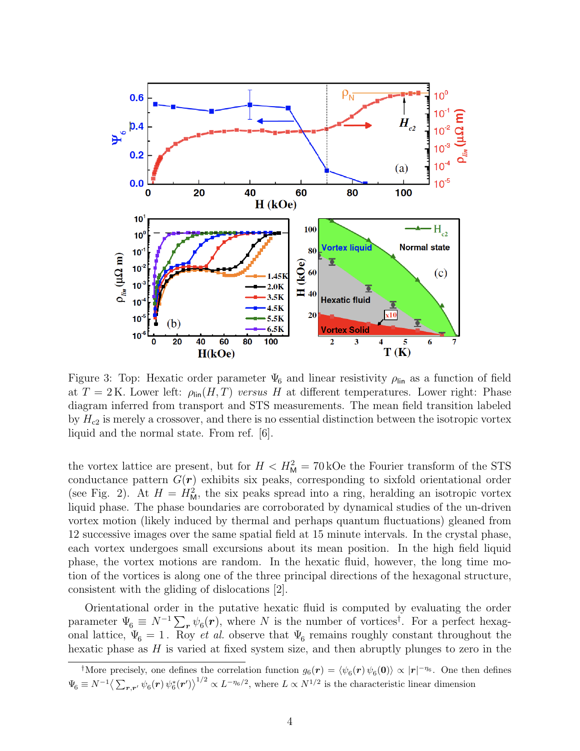

Figure 3: Top: Hexatic order parameter  $\Psi_6$  and linear resistivity  $\rho_{lin}$  as a function of field at  $T = 2$  K. Lower left:  $\rho_{lin}(H, T)$  versus H at different temperatures. Lower right: Phase diagram inferred from transport and STS measurements. The mean field transition labeled by  $H_{c2}$  is merely a crossover, and there is no essential distinction between the isotropic vortex liquid and the normal state. From ref. [\[6\]](#page-4-4).

the vortex lattice are present, but for  $H < H<sub>M</sub><sup>2</sup> = 70$  kOe the Fourier transform of the STS conductance pattern  $G(r)$  exhibits six peaks, corresponding to sixfold orientational order (see Fig. [2\)](#page-2-1). At  $H = H<sub>M</sub><sup>2</sup>$ , the six peaks spread into a ring, heralding an isotropic vortex liquid phase. The phase boundaries are corroborated by dynamical studies of the un-driven vortex motion (likely induced by thermal and perhaps quantum fluctuations) gleaned from 12 successive images over the same spatial field at 15 minute intervals. In the crystal phase, each vortex undergoes small excursions about its mean position. In the high field liquid phase, the vortex motions are random. In the hexatic fluid, however, the long time motion of the vortices is along one of the three principal directions of the hexagonal structure, consistent with the gliding of dislocations [\[2\]](#page-4-0).

Orientational order in the putative hexatic fluid is computed by evaluating the order parameter  $\Psi_6 \equiv N^{-1} \sum_{\bf r} \psi_6({\bf r})$ , where N is the number of vortices<sup>[†](#page-3-0)</sup>. For a perfect hexagonal lattice,  $\Psi_6 = 1$ . Roy *et al.* observe that  $\Psi_6$  remains roughly constant throughout the hexatic phase as  $H$  is varied at fixed system size, and then abruptly plunges to zero in the

<span id="page-3-0"></span><sup>&</sup>lt;sup>†</sup>More precisely, one defines the correlation function  $g_6(r) = \langle \psi_6(r) \psi_6(0) \rangle \propto |r|^{-\eta_6}$ . One then defines  $\Psi_6 \equiv N^{-1} \left\langle \sum_{\bm{r},\bm{r'}} \psi_6(\bm{r}) \psi_6^*(\bm{r'}) \right\rangle^{1/2} \propto L^{-\eta_6/2}$ , where  $L \propto N^{1/2}$  is the characteristic linear dimension